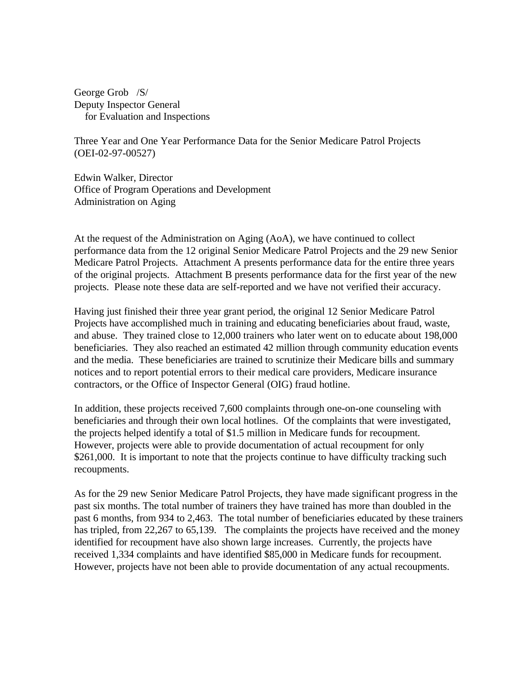George Grob /S/ Deputy Inspector General for Evaluation and Inspections

Three Year and One Year Performance Data for the Senior Medicare Patrol Projects (OEI-02-97-00527)

Edwin Walker, Director Office of Program Operations and Development Administration on Aging

At the request of the Administration on Aging (AoA), we have continued to collect performance data from the 12 original Senior Medicare Patrol Projects and the 29 new Senior Medicare Patrol Projects. Attachment A presents performance data for the entire three years of the original projects. Attachment B presents performance data for the first year of the new projects. Please note these data are self-reported and we have not verified their accuracy.

Having just finished their three year grant period, the original 12 Senior Medicare Patrol Projects have accomplished much in training and educating beneficiaries about fraud, waste, and abuse. They trained close to 12,000 trainers who later went on to educate about 198,000 beneficiaries. They also reached an estimated 42 million through community education events and the media. These beneficiaries are trained to scrutinize their Medicare bills and summary notices and to report potential errors to their medical care providers, Medicare insurance contractors, or the Office of Inspector General (OIG) fraud hotline.

In addition, these projects received 7,600 complaints through one-on-one counseling with beneficiaries and through their own local hotlines. Of the complaints that were investigated, the projects helped identify a total of \$1.5 million in Medicare funds for recoupment. However, projects were able to provide documentation of actual recoupment for only \$261,000. It is important to note that the projects continue to have difficulty tracking such recoupments.

As for the 29 new Senior Medicare Patrol Projects, they have made significant progress in the past six months. The total number of trainers they have trained has more than doubled in the past 6 months, from 934 to 2,463. The total number of beneficiaries educated by these trainers has tripled, from 22,267 to 65,139. The complaints the projects have received and the money identified for recoupment have also shown large increases. Currently, the projects have received 1,334 complaints and have identified \$85,000 in Medicare funds for recoupment. However, projects have not been able to provide documentation of any actual recoupments.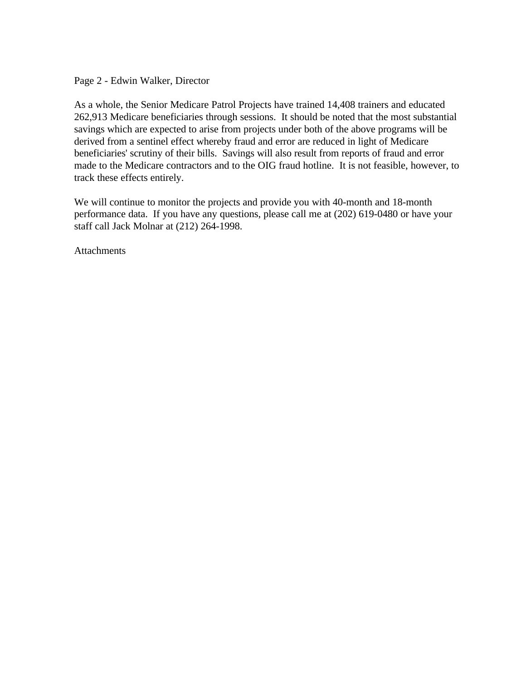Page 2 - Edwin Walker, Director

As a whole, the Senior Medicare Patrol Projects have trained 14,408 trainers and educated 262,913 Medicare beneficiaries through sessions. It should be noted that the most substantial savings which are expected to arise from projects under both of the above programs will be derived from a sentinel effect whereby fraud and error are reduced in light of Medicare beneficiaries' scrutiny of their bills. Savings will also result from reports of fraud and error made to the Medicare contractors and to the OIG fraud hotline. It is not feasible, however, to track these effects entirely.

We will continue to monitor the projects and provide you with 40-month and 18-month performance data. If you have any questions, please call me at (202) 619-0480 or have your staff call Jack Molnar at (212) 264-1998.

Attachments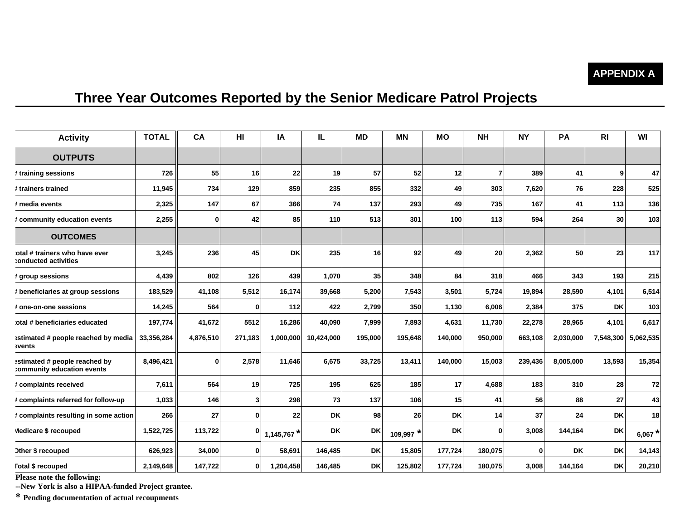## **APPENDIX A**

## **Three Year Outcomes Reported by the Senior Medicare Patrol Projects**

| <b>Activity</b>                                             | <b>TOTAL</b> | CA           | HI      | ΙA            | IL.        | <b>MD</b> | <b>MN</b>   | <b>MO</b> | <b>NH</b> | <b>NY</b> | PA        | RI        | WI        |
|-------------------------------------------------------------|--------------|--------------|---------|---------------|------------|-----------|-------------|-----------|-----------|-----------|-----------|-----------|-----------|
| <b>OUTPUTS</b>                                              |              |              |         |               |            |           |             |           |           |           |           |           |           |
| # training sessions                                         | 726          | 55           | 16      | 22            | 19         | 57        | 52          | 12        | 7         | 389       | 41        | 9         | 47        |
| ≉ trainers trained                                          | 11,945       | 734          | 129     | 859           | 235        | 855       | 332         | 49        | 303       | 7,620     | 76        | 228       | 525       |
| # media events                                              | 2,325        | 147          | 67      | 366           | 74         | 137       | 293         | 49        | 735       | 167       | 41        | 113       | 136       |
| # community education events                                | 2,255        | <sup>0</sup> | 42      | 85            | 110        | 513       | 301         | 100       | 113       | 594       | 264       | 30        | 103       |
| <b>OUTCOMES</b>                                             |              |              |         |               |            |           |             |           |           |           |           |           |           |
| otal # trainers who have ever<br>:onducted activities       | 3,245        | 236          | 45      | <b>DK</b>     | 235        | <b>16</b> | 92          | 49        | 20        | 2,362     | 50        | 23        | 117       |
| # group sessions                                            | 4,439        | 802          | 126     | 439           | 1,070      | 35        | 348         | 84        | 318       | 466       | 343       | 193       | 215       |
| # beneficiaries at group sessions                           | 183,529      | 41,108       | 5,512   | 16,174        | 39,668     | 5,200     | 7,543       | 3,501     | 5,724     | 19,894    | 28,590    | 4,101     | 6,514     |
| t one-on-one sessions                                       | 14,245       | 564          | 0       | 112           | 422        | 2,799     | 350         | 1,130     | 6,006     | 2,384     | 375       | <b>DK</b> | 103       |
| otal # beneficiaries educated                               | 197,774      | 41,672       | 5512    | 16,286        | 40,090     | 7,999     | 7,893       | 4,631     | 11,730    | 22,278    | 28,965    | 4,101     | 6,617     |
| estimated # people reached by media<br>vents:               | 33,356,284   | 4,876,510    | 271,183 | 1,000,000     | 10,424,000 | 195,000   | 195,648     | 140,000   | 950,000   | 663,108   | 2,030,000 | 7,548,300 | 5,062,535 |
| estimated # people reached by<br>:ommunity education events | 8,496,421    | $\bf{0}$     | 2,578   | 11,646        | 6,675      | 33,725    | 13,411      | 140.000   | 15,003    | 239,436   | 8,005,000 | 13,593    | 15,354    |
| # complaints received                                       | 7,611        | 564          | 19      | 725           | 195        | 625       | 185         | 17        | 4,688     | 183       | 310       | 28        | 72        |
| # complaints referred for follow-up                         | 1,033        | 146          | 3       | 298           | 73         | 137       | 106         | 15        | 41        | 56        | 88        | 27        | 43        |
| # complaints resulting in some action                       | 266          | 27           | 0       | 22            | <b>DK</b>  | 98        | 26          | <b>DK</b> | 14        | 37        | 24        | <b>DK</b> | 18        |
| Medicare \$ recouped                                        | 1,522,725    | 113,722      | 0       | $1,145,767$ * | <b>DK</b>  | <b>DK</b> | $109,997$ * | <b>DK</b> | $\bf{0}$  | 3,008     | 144,164   | <b>DK</b> | 6,067 $*$ |
| Other \$ recouped                                           | 626,923      | 34,000       | 0       | 58,691        | 146,485    | <b>DK</b> | 15,805      | 177,724   | 180,075   | 0         | DK        | <b>DK</b> | 14,143    |
| <b>Total \$ recouped</b>                                    | 2,149,648    | 147,722      | 0       | 1,204,458     | 146,485    | <b>DK</b> | 125,802     | 177,724   | 180,075   | 3,008     | 144,164   | <b>DK</b> | 20,210    |

**Please note the following:**

**--New York is also a HIPAA-funded Project grantee.**

**\* Pending documentation of actual recoupments**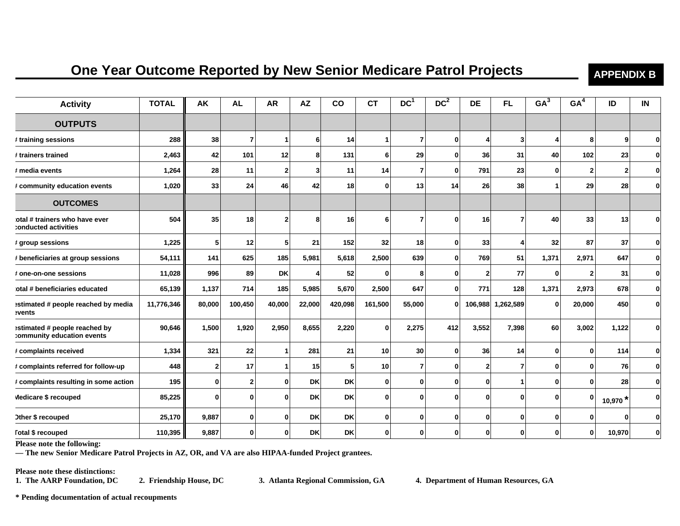## **One Year Outcome Reported by New Senior Medicare Patrol Projects APPENDIX B**

| <b>Activity</b>                                             | <b>TOTAL</b> | AK              | <b>AL</b>      | <b>AR</b>    | <b>AZ</b>       | co        | <b>CT</b>    | DC <sup>1</sup> | DC <sup>2</sup> | <b>DE</b>      | FL.       | GA <sup>3</sup> | GA <sup>4</sup> | ID         | IN           |
|-------------------------------------------------------------|--------------|-----------------|----------------|--------------|-----------------|-----------|--------------|-----------------|-----------------|----------------|-----------|-----------------|-----------------|------------|--------------|
| <b>OUTPUTS</b>                                              |              |                 |                |              |                 |           |              |                 |                 |                |           |                 |                 |            |              |
| # training sessions                                         | 288          | 38 <sup>1</sup> | $\overline{7}$ |              | 6               | 14        | 1            | 7               | $\bf{0}$        | Δ              | 3         |                 | 8               | 9          | $\mathbf{0}$ |
| t trainers trained                                          | 2,463        | 42              | 101            | 12           | 8               | 131       | 6            | 29              | 0               | 36             | 31        | 40              | 102             | 23         | $\mathbf{0}$ |
| # media events                                              | 1,264        | 28 <sup>1</sup> | 11             | $\mathbf{2}$ | $\mathbf{3}$    | 11        | 14           | 7               | 0               | 791            | 23        | 0               | $\overline{2}$  | 2          | $\mathbf{0}$ |
| # community education events                                | 1,020        | 33              | 24             | 46           | 42              | 18        | 0            | 13              | 14              | 26             | 38        |                 | 29              | 28         | $\mathbf{0}$ |
| <b>OUTCOMES</b>                                             |              |                 |                |              |                 |           |              |                 |                 |                |           |                 |                 |            |              |
| otal # trainers who have ever<br>:onducted activities       | 504          | 35              | 18             | 2            | 8               | 16        | 6            |                 | ŋ               | 16             | 7         | 40              | 33              | 13         | $\mathbf{0}$ |
| # group sessions                                            | 1,225        | 5 <sub>l</sub>  | 12             | 5            | 21              | 152       | 32           | 18              | 0               | 33             | 4         | 32              | 87              | 37         | $\mathbf{0}$ |
| # beneficiaries at group sessions                           | 54,111       | 141             | 625            | 185          | 5,981           | 5,618     | 2,500        | 639             | $\mathbf{0}$    | 769            | 51        | 1,371           | 2,971           | 647        | $\mathbf{0}$ |
| # one-on-one sessions                                       | 11,028       | 996             | 89             | DK           | Δ               | 52        | 0            | 8               | 0               | $\overline{2}$ | 77        | 0               | $\overline{2}$  | 31         | $\mathbf{0}$ |
| otal # beneficiaries educated                               | 65,139       | 1,137           | 714            | 185          | 5,985           | 5,670     | 2,500        | 647             | $\bf{0}$        | 771            | 128       | 1,371           | 2,973           | 678        | $\mathbf{0}$ |
| estimated # people reached by media<br>events:              | 11,776,346   | 80,000          | 100,450        | 40,000       | 22,000          | 420,098   | 161,500      | 55,000          | $\bf{0}$        | 106,988        | 1,262,589 | $\mathbf 0$     | 20,000          | 450        | $\mathbf{0}$ |
| estimated # people reached by<br>:ommunity education events | 90,646       | 1,500           | 1,920          | 2,950        | 8,655           | 2,220     | $\bf{0}$     | 2,275           | 412             | 3,552          | 7,398     | 60              | 3,002           | 1,122      | $\mathbf{0}$ |
| # complaints received                                       | 1,334        | 321             | 22             |              | 281             | 21        | 10           | 30              | $\mathbf{0}$    | 36             | 14        | 0               | 0               | 114        | $\mathbf{0}$ |
| # complaints referred for follow-up                         | 448          | $\mathbf{2}$    | 17             |              | 15 <sup>1</sup> | 5         | 10           | 7               | $\bf{0}$        | 2              | 7         | $\Omega$        | $\mathbf{0}$    | 76         | $\mathbf{0}$ |
| # complaints resulting in some action                       | 195          | $\mathbf{0}$    | $\mathbf 2$    | 0            | <b>DK</b>       | <b>DK</b> | 0            | 0               | $\bf{0}$        | 0              |           | $\mathbf 0$     | $\mathbf{0}$    | 28         | $\mathbf{0}$ |
| Medicare \$ recouped                                        | 85,225       | $\mathbf{0}$    | $\mathbf{0}$   | U            | <b>DK</b>       | <b>DK</b> | $\mathbf{0}$ | 0               | $\bf{0}$        | O              | $\bf{0}$  | O               | $\mathbf 0$     | 10,970 $*$ | $\mathbf{0}$ |
| Other \$ recouped                                           | 25,170       | 9,887           | $\mathbf{0}$   | U            | <b>DK</b>       | <b>DK</b> | $\mathbf{0}$ | 0               | 0               | O              | $\bf{0}$  | 0               | $\bf{0}$        | ŋ          | $\mathbf{0}$ |
| <b>Total \$ recouped</b>                                    | 110,395      | 9,887           | 0              | 0            | <b>DK</b>       | <b>DK</b> | 0            |                 | O               | ŋ              | 0         | ŋ               | $\bf{0}$        | 10,970     | $\mathbf{0}$ |

**Please note the following:** 

**— The new Senior Medicare Patrol Projects in AZ, OR, and VA are also HIPAA-funded Project grantees.** 

**Please note these distinctions:** 

**1. The AARP Foundation, DC 2. Friendship House, DC 3. Atlanta Regional Commission, GA 4. Department of Human Resources, GA** 

**\* Pending documentation of actual recoupments**